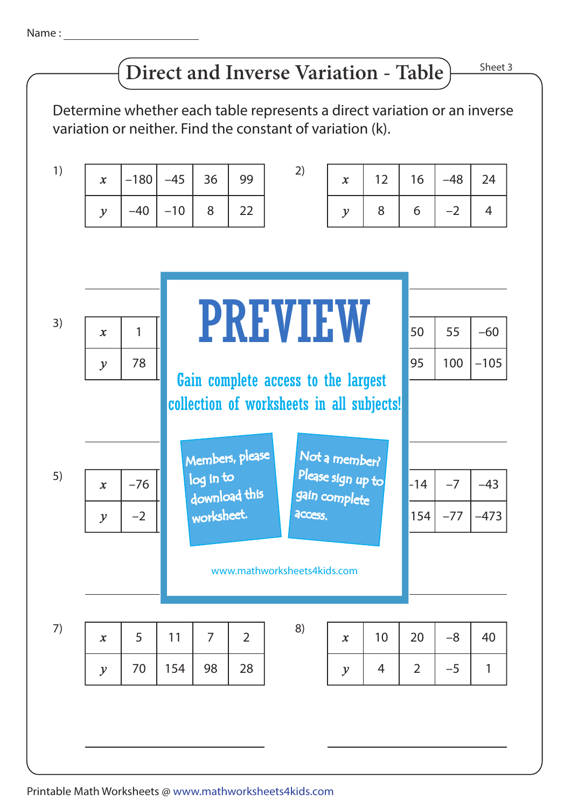## **Direct and Inverse Variation - Table**

Sheet 3

Determine whether each table represents a direct variation or an inverse variation or neither. Find the constant of variation (k).

| 1) | $\boldsymbol{x}$ | $-180$ | $-45$ | 36                                                                               | 99             | 2)                                 | $\boldsymbol{x}$           | 12    | 16             | $-48$ | 24             |
|----|------------------|--------|-------|----------------------------------------------------------------------------------|----------------|------------------------------------|----------------------------|-------|----------------|-------|----------------|
|    | $\mathcal{Y}$    | $-40$  | $-10$ | 8                                                                                | 22             |                                    | $\mathcal{Y}$              | 8     | 6              | $-2$  | $\overline{4}$ |
|    |                  |        |       |                                                                                  |                |                                    |                            |       |                |       |                |
|    |                  |        |       |                                                                                  |                |                                    |                            |       |                |       |                |
|    |                  |        |       |                                                                                  |                |                                    |                            |       |                |       |                |
| 3) | $\mathbf{x}$     | 1      |       | <b>PREVIEW</b>                                                                   |                |                                    |                            |       | 50             | 55    | $-60$          |
|    | $\mathcal{Y}$    | 78     |       | Gain complete access to the largest<br>collection of worksheets in all subjects! |                |                                    |                            |       |                | 100   | $-105$         |
|    |                  |        |       |                                                                                  |                |                                    |                            |       |                |       |                |
|    |                  |        |       |                                                                                  |                |                                    |                            |       |                |       |                |
|    |                  |        |       | Members, please<br>Not a member?                                                 |                |                                    |                            |       |                |       |                |
| 5) | $\mathbf{x}$     | $-76$  |       | log in to<br>download this                                                       |                | Please sign up to<br>gain complete |                            | $-14$ | $-7$           | $-43$ |                |
|    | $\mathcal{Y}$    | $-2$   |       | worksheet.                                                                       |                | access.                            |                            |       | 154            | $-77$ | $-473$         |
|    |                  |        |       |                                                                                  |                |                                    |                            |       |                |       |                |
|    |                  |        |       | www.mathworksheets4kids.com                                                      |                |                                    |                            |       |                |       |                |
|    |                  |        |       |                                                                                  |                |                                    |                            |       |                |       |                |
| 7) | $\boldsymbol{x}$ | 5      | 11    | 7                                                                                | $\overline{2}$ | 8)                                 | $\boldsymbol{\mathcal{X}}$ | 10    | 20             | $-8$  | 40             |
|    | $\mathcal{Y}$    | 70     | 154   | 98                                                                               | 28             |                                    | $\mathcal{Y}$              | 4     | $\overline{2}$ | $-5$  | 1              |
|    |                  |        |       |                                                                                  |                |                                    |                            |       |                |       |                |
|    |                  |        |       |                                                                                  |                |                                    |                            |       |                |       |                |